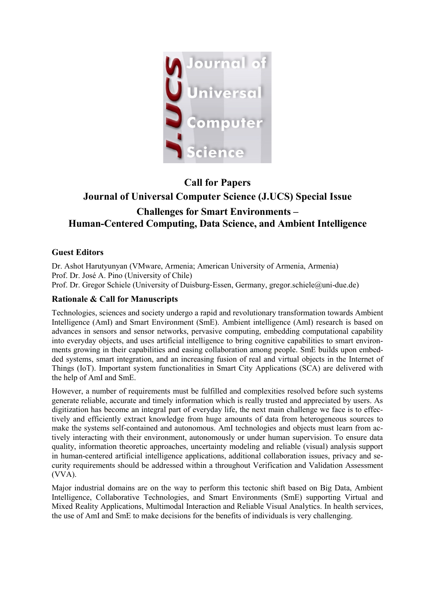

# **Call for Papers Journal of Universal Computer Science (J.UCS) Special Issue Challenges for Smart Environments – Human-Centered Computing, Data Science, and Ambient Intelligence**

# **Guest Editors**

Dr. Ashot Harutyunyan (VMware, Armenia; American University of Armenia, Armenia) Prof. Dr. José A. Pino (University of Chile) Prof. Dr. Gregor Schiele (University of Duisburg‐Essen, Germany, gregor.schiele@uni-due.de)

# **Rationale & Call for Manuscripts**

Technologies, sciences and society undergo a rapid and revolutionary transformation towards Ambient Intelligence (AmI) and Smart Environment (SmE). Ambient intelligence (AmI) research is based on advances in sensors and sensor networks, pervasive computing, embedding computational capability into everyday objects, and uses artificial intelligence to bring cognitive capabilities to smart environments growing in their capabilities and easing collaboration among people. SmE builds upon embedded systems, smart integration, and an increasing fusion of real and virtual objects in the Internet of Things (IoT). Important system functionalities in Smart City Applications (SCA) are delivered with the help of AmI and SmE.

However, a number of requirements must be fulfilled and complexities resolved before such systems generate reliable, accurate and timely information which is really trusted and appreciated by users. As digitization has become an integral part of everyday life, the next main challenge we face is to effectively and efficiently extract knowledge from huge amounts of data from heterogeneous sources to make the systems self-contained and autonomous. AmI technologies and objects must learn from actively interacting with their environment, autonomously or under human supervision. To ensure data quality, information theoretic approaches, uncertainty modeling and reliable (visual) analysis support in human-centered artificial intelligence applications, additional collaboration issues, privacy and security requirements should be addressed within a throughout Verification and Validation Assessment (VVA).

Major industrial domains are on the way to perform this tectonic shift based on Big Data, Ambient Intelligence, Collaborative Technologies, and Smart Environments (SmE) supporting Virtual and Mixed Reality Applications, Multimodal Interaction and Reliable Visual Analytics. In health services, the use of AmI and SmE to make decisions for the benefits of individuals is very challenging.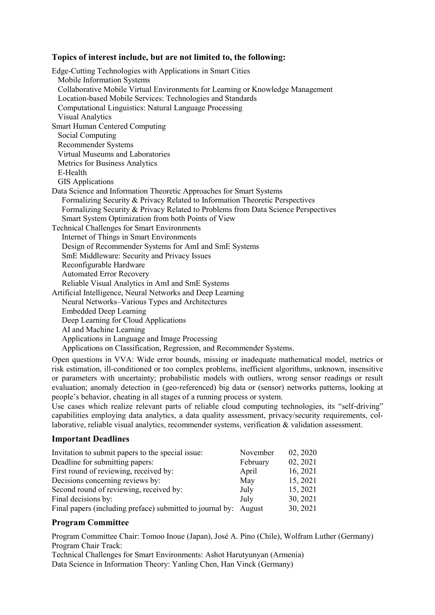## **Topics of interest include, but are not limited to, the following:**

Edge-Cutting Technologies with Applications in Smart Cities Mobile Information Systems Collaborative Mobile Virtual Environments for Learning or Knowledge Management Location-based Mobile Services: Technologies and Standards Computational Linguistics: Natural Language Processing Visual Analytics Smart Human Centered Computing Social Computing Recommender Systems Virtual Museums and Laboratories Metrics for Business Analytics E-Health GIS Applications Data Science and Information Theoretic Approaches for Smart Systems Formalizing Security & Privacy Related to Information Theoretic Perspectives Formalizing Security & Privacy Related to Problems from Data Science Perspectives Smart System Optimization from both Points of View Technical Challenges for Smart Environments Internet of Things in Smart Environments Design of Recommender Systems for AmI and SmE Systems SmE Middleware: Security and Privacy Issues Reconfigurable Hardware Automated Error Recovery Reliable Visual Analytics in AmI and SmE Systems Artificial Intelligence, Neural Networks and Deep Learning Neural Networks–Various Types and Architectures Embedded Deep Learning Deep Learning for Cloud Applications AI and Machine Learning Applications in Language and Image Processing Applications on Classification, Regression, and Recommender Systems.

Open questions in VVA: Wide error bounds, missing or inadequate mathematical model, metrics or risk estimation, ill-conditioned or too complex problems, inefficient algorithms, unknown, insensitive or parameters with uncertainty; probabilistic models with outliers, wrong sensor readings or result evaluation; anomaly detection in (geo‐referenced) big data or (sensor) networks patterns, looking at people's behavior, cheating in all stages of a running process or system.

Use cases which realize relevant parts of reliable cloud computing technologies, its "self‐driving" capabilities employing data analytics, a data quality assessment, privacy/security requirements, collaborative, reliable visual analytics, recommender systems, verification & validation assessment.

## **Important Deadlines**

| Invitation to submit papers to the special issue:                | November | 02, 2020 |
|------------------------------------------------------------------|----------|----------|
| Deadline for submitting papers:                                  | February | 02, 2021 |
| First round of reviewing, received by:                           | April    | 16, 2021 |
| Decisions concerning reviews by:                                 | May      | 15, 2021 |
| Second round of reviewing, received by:                          | July     | 15, 2021 |
| Final decisions by:                                              | July     | 30, 2021 |
| Final papers (including preface) submitted to journal by: August |          | 30, 2021 |

## **Program Committee**

Program Committee Chair: Tomoo Inoue (Japan), José A. Pino (Chile), Wolfram Luther (Germany) Program Chair Track:

Technical Challenges for Smart Environments: Ashot Harutyunyan (Armenia) Data Science in Information Theory: Yanling Chen, Han Vinck (Germany)